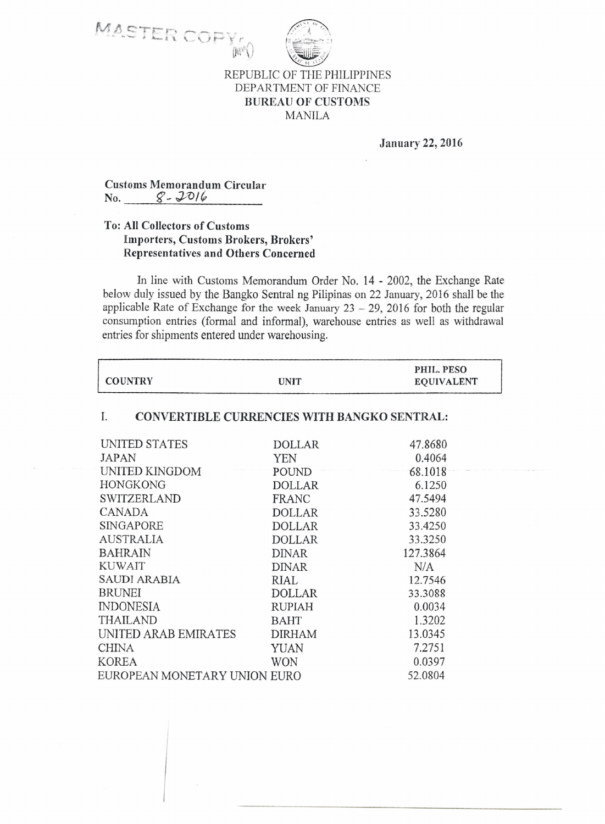



MANILA

January 22, 2016

Customs Memorandum Circular No. q- *J:O/~*

## To: All Collectors of Customs Importers, Customs Brokers, Brokers' Representatives and Others Concerned

(四)

In line with Customs Memorandum Order No. 14 - 2002, the Exchange Rate below duly issued by the Bangko Sentral ng Pilipinas on 22 January, 2016 shall be the applicable Rate of Exchange for the week January  $23 - 29$ ,  $2016$  for both the regular consumption entries (formal and informal), warehouse entries as well as withdrawal entries for shipments entered under warehousing.

| <b>COUNTRY</b>                                           | <b>UNIT</b>   | PHIL. PESO<br><b>EQUIVALENT</b> |  |
|----------------------------------------------------------|---------------|---------------------------------|--|
| <b>CONVERTIBLE CURRENCIES WITH BANGKO SENTRAL:</b><br>I. |               |                                 |  |
| UNITED STATES                                            | <b>DOLLAR</b> | 47.8680                         |  |
| <b>JAPAN</b>                                             | <b>YEN</b>    | 0.4064                          |  |
| UNITED KINGDOM                                           | POUND         | 68.1018                         |  |
| HONGKONG                                                 | <b>DOLLAR</b> | 6.1250                          |  |
| SWITZERLAND                                              | FRANC         | 47.5494                         |  |
| <b>CANADA</b>                                            | <b>DOLLAR</b> | 33.5280                         |  |
| SINGAPORE                                                | <b>DOLLAR</b> | 33.4250                         |  |
| <b>AUSTRALIA</b>                                         | <b>DOLLAR</b> | 33.3250                         |  |
| <b>BAHRAIN</b>                                           | <b>DINAR</b>  | 127.3864                        |  |
| <b>KUWAIT</b>                                            | <b>DINAR</b>  | N/A                             |  |
| <b>SAUDI ARABIA</b>                                      | RIAL          | 12.7546                         |  |
| BRUNEI                                                   | <b>DOLLAR</b> | 33.3088                         |  |
| <b>INDONESIA</b>                                         | <b>RUPIAH</b> | 0.0034                          |  |
| THAILAND                                                 | <b>BAHT</b>   | 1.3202                          |  |
| UNITED ARAB EMIRATES                                     | <b>DIRHAM</b> | 13.0345                         |  |
| <b>CHINA</b>                                             | <b>YUAN</b>   | 7.2751                          |  |
| <b>KOREA</b>                                             | <b>WON</b>    | 0.0397                          |  |
| EUROPEAN MONETARY UNION EURO                             |               | 52.0804                         |  |